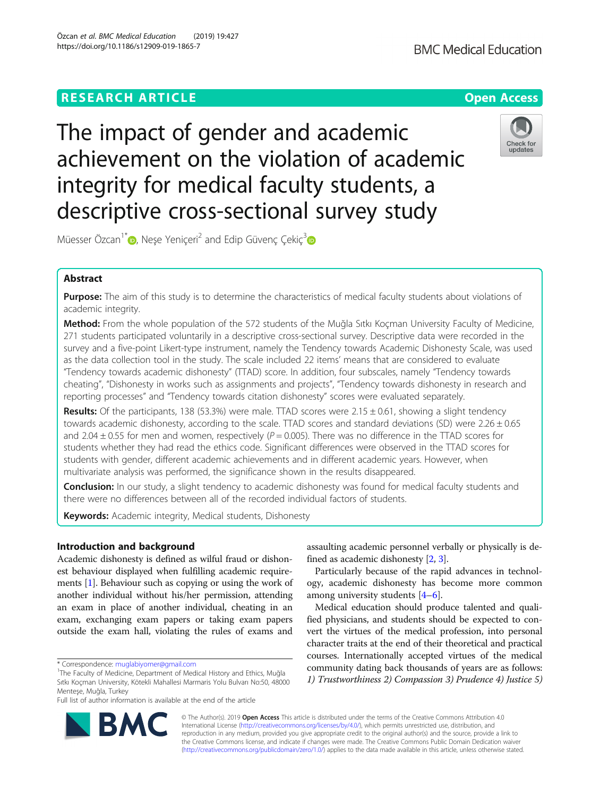# **RESEARCH ARTICLE Example 2014 12:30 The Contract of Contract ACCESS**

The impact of gender and academic achievement on the violation of academic integrity for medical faculty students, a descriptive cross-sectional survey study

Müesser Özcan<sup>1\*</sup> $\bullet$ , Neşe Yeniçeri<sup>2</sup> and Edip Güvenç Çekiç<sup>3</sup> $\bullet$ 

# Abstract

Purpose: The aim of this study is to determine the characteristics of medical faculty students about violations of academic integrity.

Method: From the whole population of the 572 students of the Muğla Sıtkı Koçman University Faculty of Medicine, 271 students participated voluntarily in a descriptive cross-sectional survey. Descriptive data were recorded in the survey and a five-point Likert-type instrument, namely the Tendency towards Academic Dishonesty Scale, was used as the data collection tool in the study. The scale included 22 items' means that are considered to evaluate "Tendency towards academic dishonesty" (TTAD) score. In addition, four subscales, namely "Tendency towards cheating", "Dishonesty in works such as assignments and projects", "Tendency towards dishonesty in research and reporting processes" and "Tendency towards citation dishonesty" scores were evaluated separately.

Results: Of the participants, 138 (53.3%) were male. TTAD scores were 2.15 ± 0.61, showing a slight tendency towards academic dishonesty, according to the scale. TTAD scores and standard deviations (SD) were  $2.26 \pm 0.65$ and 2.04  $\pm$  0.55 for men and women, respectively ( $P = 0.005$ ). There was no difference in the TTAD scores for students whether they had read the ethics code. Significant differences were observed in the TTAD scores for students with gender, different academic achievements and in different academic years. However, when multivariate analysis was performed, the significance shown in the results disappeared.

**Conclusion:** In our study, a slight tendency to academic dishonesty was found for medical faculty students and there were no differences between all of the recorded individual factors of students.

Keywords: Academic integrity, Medical students, Dishonesty

# Introduction and background

Academic dishonesty is defined as wilful fraud or dishonest behaviour displayed when fulfilling academic requirements [\[1\]](#page-6-0). Behaviour such as copying or using the work of another individual without his/her permission, attending an exam in place of another individual, cheating in an exam, exchanging exam papers or taking exam papers outside the exam hall, violating the rules of exams and

\* Correspondence: [muglabiyomer@gmail.com](mailto:muglabiyomer@gmail.com) <sup>1</sup>

Full list of author information is available at the end of the article

assaulting academic personnel verbally or physically is defined as academic dishonesty [[2,](#page-6-0) [3](#page-6-0)].

Particularly because of the rapid advances in technology, academic dishonesty has become more common among university students [[4](#page-6-0)–[6](#page-6-0)].

Medical education should produce talented and qualified physicians, and students should be expected to convert the virtues of the medical profession, into personal character traits at the end of their theoretical and practical courses. Internationally accepted virtues of the medical community dating back thousands of years are as follows: 1) Trustworthiness 2) Compassion 3) Prudence 4) Justice 5)

© The Author(s). 2019 Open Access This article is distributed under the terms of the Creative Commons Attribution 4.0 International License [\(http://creativecommons.org/licenses/by/4.0/](http://creativecommons.org/licenses/by/4.0/)), which permits unrestricted use, distribution, and reproduction in any medium, provided you give appropriate credit to the original author(s) and the source, provide a link to the Creative Commons license, and indicate if changes were made. The Creative Commons Public Domain Dedication waiver [\(http://creativecommons.org/publicdomain/zero/1.0/](http://creativecommons.org/publicdomain/zero/1.0/)) applies to the data made available in this article, unless otherwise stated.







<sup>&</sup>lt;sup>1</sup>The Faculty of Medicine, Department of Medical History and Ethics, Muğla Sıtkı Koçman University, Kötekli Mahallesi Marmaris Yolu Bulvarı No:50, 48000 Menteşe, Muğla, Turkey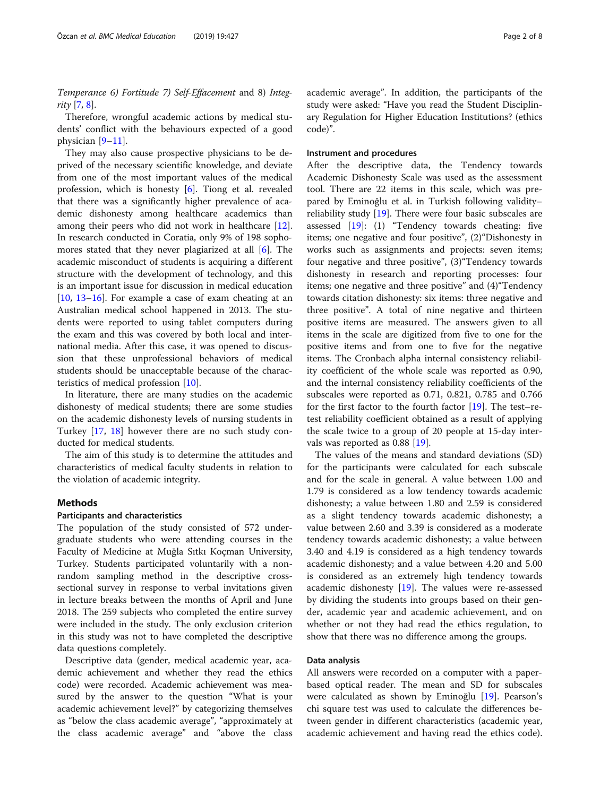Temperance 6) Fortitude 7) Self-Effacement and 8) Integrity  $[7, 8]$  $[7, 8]$  $[7, 8]$  $[7, 8]$ .

Therefore, wrongful academic actions by medical students' conflict with the behaviours expected of a good physician [[9](#page-6-0)–[11](#page-6-0)].

They may also cause prospective physicians to be deprived of the necessary scientific knowledge, and deviate from one of the most important values of the medical profession, which is honesty [\[6\]](#page-6-0). Tiong et al. revealed that there was a significantly higher prevalence of academic dishonesty among healthcare academics than among their peers who did not work in healthcare [\[12](#page-6-0)]. In research conducted in Coratia, only 9% of 198 sophomores stated that they never plagiarized at all [[6\]](#page-6-0). The academic misconduct of students is acquiring a different structure with the development of technology, and this is an important issue for discussion in medical education  $[10, 13-16]$  $[10, 13-16]$  $[10, 13-16]$  $[10, 13-16]$  $[10, 13-16]$  $[10, 13-16]$  $[10, 13-16]$ . For example a case of exam cheating at an Australian medical school happened in 2013. The students were reported to using tablet computers during the exam and this was covered by both local and international media. After this case, it was opened to discussion that these unprofessional behaviors of medical students should be unacceptable because of the characteristics of medical profession [[10\]](#page-6-0).

In literature, there are many studies on the academic dishonesty of medical students; there are some studies on the academic dishonesty levels of nursing students in Turkey [\[17](#page-6-0), [18\]](#page-6-0) however there are no such study conducted for medical students.

The aim of this study is to determine the attitudes and characteristics of medical faculty students in relation to the violation of academic integrity.

### Methods

### Participants and characteristics

The population of the study consisted of 572 undergraduate students who were attending courses in the Faculty of Medicine at Muğla Sıtkı Koçman University, Turkey. Students participated voluntarily with a nonrandom sampling method in the descriptive crosssectional survey in response to verbal invitations given in lecture breaks between the months of April and June 2018. The 259 subjects who completed the entire survey were included in the study. The only exclusion criterion in this study was not to have completed the descriptive data questions completely.

Descriptive data (gender, medical academic year, academic achievement and whether they read the ethics code) were recorded. Academic achievement was measured by the answer to the question "What is your academic achievement level?" by categorizing themselves as "below the class academic average", "approximately at the class academic average" and "above the class academic average". In addition, the participants of the study were asked: "Have you read the Student Disciplinary Regulation for Higher Education Institutions? (ethics code)".

### Instrument and procedures

After the descriptive data, the Tendency towards Academic Dishonesty Scale was used as the assessment tool. There are 22 items in this scale, which was prepared by Eminoğlu et al. in Turkish following validity– reliability study [[19\]](#page-6-0). There were four basic subscales are assessed [[19\]](#page-6-0): (1) "Tendency towards cheating: five items; one negative and four positive", (2)"Dishonesty in works such as assignments and projects: seven items; four negative and three positive", (3)"Tendency towards dishonesty in research and reporting processes: four items; one negative and three positive" and (4)"Tendency towards citation dishonesty: six items: three negative and three positive". A total of nine negative and thirteen positive items are measured. The answers given to all items in the scale are digitized from five to one for the positive items and from one to five for the negative items. The Cronbach alpha internal consistency reliability coefficient of the whole scale was reported as 0.90, and the internal consistency reliability coefficients of the subscales were reported as 0.71, 0.821, 0.785 and 0.766 for the first factor to the fourth factor [[19](#page-6-0)]. The test–retest reliability coefficient obtained as a result of applying the scale twice to a group of 20 people at 15-day intervals was reported as 0.88 [[19\]](#page-6-0).

The values of the means and standard deviations (SD) for the participants were calculated for each subscale and for the scale in general. A value between 1.00 and 1.79 is considered as a low tendency towards academic dishonesty; a value between 1.80 and 2.59 is considered as a slight tendency towards academic dishonesty; a value between 2.60 and 3.39 is considered as a moderate tendency towards academic dishonesty; a value between 3.40 and 4.19 is considered as a high tendency towards academic dishonesty; and a value between 4.20 and 5.00 is considered as an extremely high tendency towards academic dishonesty [[19](#page-6-0)]. The values were re-assessed by dividing the students into groups based on their gender, academic year and academic achievement, and on whether or not they had read the ethics regulation, to show that there was no difference among the groups.

### Data analysis

All answers were recorded on a computer with a paperbased optical reader. The mean and SD for subscales were calculated as shown by Eminoğlu [[19](#page-6-0)]. Pearson's chi square test was used to calculate the differences between gender in different characteristics (academic year, academic achievement and having read the ethics code).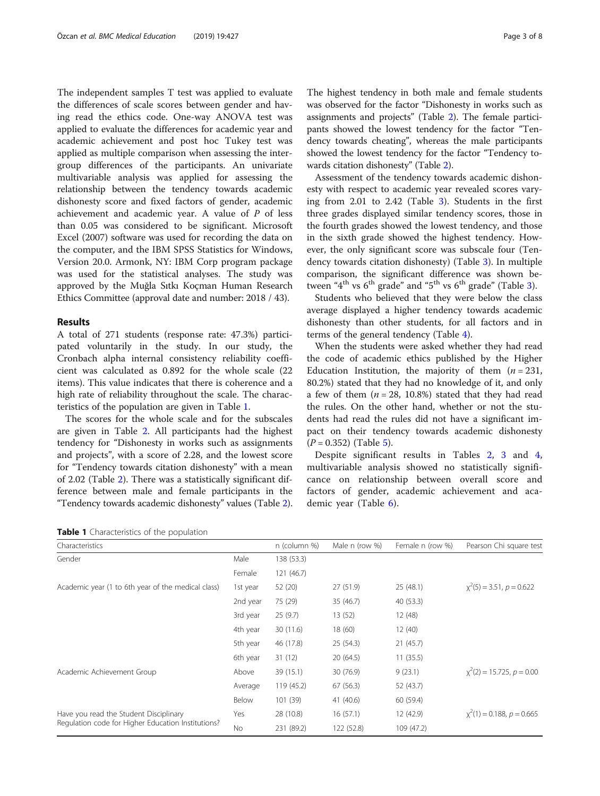The independent samples T test was applied to evaluate the differences of scale scores between gender and having read the ethics code. One-way ANOVA test was applied to evaluate the differences for academic year and academic achievement and post hoc Tukey test was applied as multiple comparison when assessing the intergroup differences of the participants. An univariate multivariable analysis was applied for assessing the relationship between the tendency towards academic dishonesty score and fixed factors of gender, academic achievement and academic year. A value of P of less than 0.05 was considered to be significant. Microsoft Excel (2007) software was used for recording the data on the computer, and the IBM SPSS Statistics for Windows, Version 20.0. Armonk, NY: IBM Corp program package was used for the statistical analyses. The study was approved by the Muğla Sıtkı Koçman Human Research Ethics Committee (approval date and number: 2018 / 43).

### Results

A total of 271 students (response rate: 47.3%) participated voluntarily in the study. In our study, the Cronbach alpha internal consistency reliability coefficient was calculated as 0.892 for the whole scale (22 items). This value indicates that there is coherence and a high rate of reliability throughout the scale. The characteristics of the population are given in Table 1.

The scores for the whole scale and for the subscales are given in Table [2](#page-3-0). All participants had the highest tendency for "Dishonesty in works such as assignments and projects", with a score of 2.28, and the lowest score for "Tendency towards citation dishonesty" with a mean of 2.02 (Table [2\)](#page-3-0). There was a statistically significant difference between male and female participants in the "Tendency towards academic dishonesty" values (Table [2](#page-3-0)).

The highest tendency in both male and female students was observed for the factor "Dishonesty in works such as assignments and projects" (Table [2\)](#page-3-0). The female participants showed the lowest tendency for the factor "Tendency towards cheating", whereas the male participants showed the lowest tendency for the factor "Tendency towards citation dishonesty" (Table [2](#page-3-0)).

Assessment of the tendency towards academic dishonesty with respect to academic year revealed scores varying from 2.01 to 2.42 (Table [3\)](#page-3-0). Students in the first three grades displayed similar tendency scores, those in the fourth grades showed the lowest tendency, and those in the sixth grade showed the highest tendency. However, the only significant score was subscale four (Tendency towards citation dishonesty) (Table [3](#page-3-0)). In multiple comparison, the significant difference was shown be-tween "4<sup>th</sup> vs 6<sup>th</sup> grade" and "5<sup>th</sup> vs 6<sup>th</sup> grade" (Table [3](#page-3-0)).

Students who believed that they were below the class average displayed a higher tendency towards academic dishonesty than other students, for all factors and in terms of the general tendency (Table [4\)](#page-4-0).

When the students were asked whether they had read the code of academic ethics published by the Higher Education Institution, the majority of them  $(n = 231,$ 80.2%) stated that they had no knowledge of it, and only a few of them  $(n = 28, 10.8\%)$  stated that they had read the rules. On the other hand, whether or not the students had read the rules did not have a significant impact on their tendency towards academic dishonesty  $(P = 0.352)$  (Table [5\)](#page-4-0).

Despite significant results in Tables [2,](#page-3-0) [3](#page-3-0) and [4](#page-4-0), multivariable analysis showed no statistically significance on relationship between overall score and factors of gender, academic achievement and academic year (Table [6\)](#page-5-0).

| Characteristics                                    |           | n (column %) | Male n (row %) | Female n (row %) | Pearson Chi square test        |
|----------------------------------------------------|-----------|--------------|----------------|------------------|--------------------------------|
| Gender                                             | Male      | 138 (53.3)   |                |                  |                                |
|                                                    | Female    | 121 (46.7)   |                |                  |                                |
| Academic year (1 to 6th year of the medical class) | 1st year  | 52 (20)      | 27 (51.9)      | 25(48.1)         | $x^2(5) = 3.51$ , $p = 0.622$  |
|                                                    | 2nd year  | 75 (29)      | 35 (46.7)      | 40 (53.3)        |                                |
|                                                    | 3rd year  | 25(9.7)      | 13(52)         | 12 (48)          |                                |
|                                                    | 4th year  | 30 (11.6)    | 18 (60)        | 12(40)           |                                |
|                                                    | 5th year  | 46 (17.8)    | 25 (54.3)      | 21(45.7)         |                                |
|                                                    | 6th year  | 31(12)       | 20(64.5)       | 11(35.5)         |                                |
| Academic Achievement Group                         | Above     | 39 (15.1)    | 30 (76.9)      | 9(23.1)          | $x^2(2) = 15.725, p = 0.00$    |
|                                                    | Average   | 119(45.2)    | 67 (56.3)      | 52 (43.7)        |                                |
|                                                    | Below     | 101 (39)     | 41 (40.6)      | 60 (59.4)        |                                |
| Have you read the Student Disciplinary             | Yes       | 28 (10.8)    | 16(57.1)       | 12 (42.9)        | $x^2(1) = 0.188$ , $p = 0.665$ |
| Regulation code for Higher Education Institutions? | <b>No</b> | 231 (89.2)   | 122 (52.8)     | 109 (47.2)       |                                |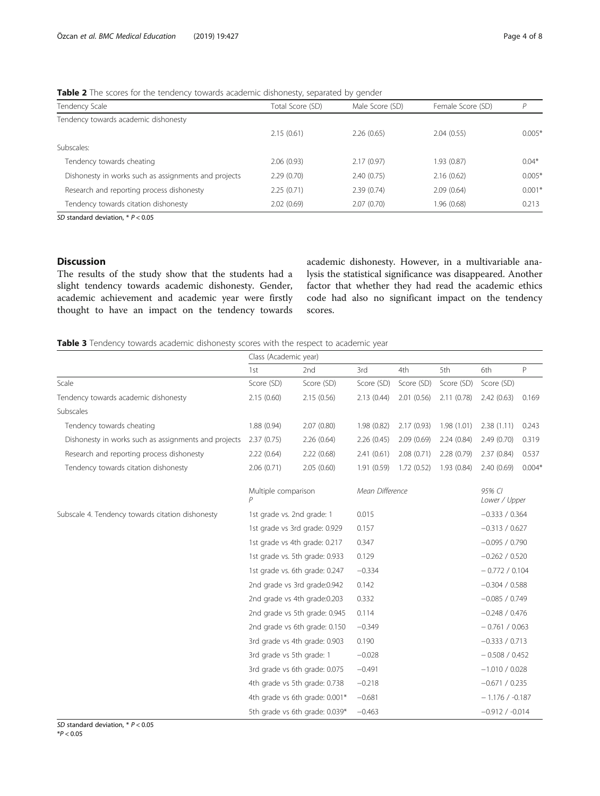| Tendency Scale                                       | Total Score (SD) | Male Score (SD) | Female Score (SD) | P        |
|------------------------------------------------------|------------------|-----------------|-------------------|----------|
| Tendency towards academic dishonesty                 |                  |                 |                   |          |
|                                                      | 2.15(0.61)       | 2.26(0.65)      | 2.04(0.55)        | $0.005*$ |
| Subscales:                                           |                  |                 |                   |          |
| Tendency towards cheating                            | 2.06(0.93)       | 2.17(0.97)      | 1.93 (0.87)       | $0.04*$  |
| Dishonesty in works such as assignments and projects | 2.29(0.70)       | 2.40(0.75)      | 2.16(0.62)        | $0.005*$ |
| Research and reporting process dishonesty            | 2.25(0.71)       | 2.39(0.74)      | 2.09(0.64)        | $0.001*$ |
| Tendency towards citation dishonesty                 | 2.02(0.69)       | 2.07(0.70)      | 1.96 (0.68)       | 0.213    |
|                                                      |                  |                 |                   |          |

<span id="page-3-0"></span>Table 2 The scores for the tendency towards academic dishonesty, separated by gender

SD standard deviation,  $* P < 0.05$ 

## Discussion

The results of the study show that the students had a slight tendency towards academic dishonesty. Gender, academic achievement and academic year were firstly thought to have an impact on the tendency towards

academic dishonesty. However, in a multivariable analysis the statistical significance was disappeared. Another factor that whether they had read the academic ethics code had also no significant impact on the tendency scores.

Table 3 Tendency towards academic dishonesty scores with the respect to academic year

|                                                      | Class (Academic year)          |                                |                 |            |                  |                         |              |
|------------------------------------------------------|--------------------------------|--------------------------------|-----------------|------------|------------------|-------------------------|--------------|
|                                                      | 1st                            | 2nd                            | 3rd             | 4th        | 5th              | 6th                     | $\mathsf{P}$ |
| Scale                                                | Score (SD)                     | Score (SD)                     | Score (SD)      | Score (SD) | Score (SD)       | Score (SD)              |              |
| Tendency towards academic dishonesty                 | 2.15(0.60)                     | 2.15(0.56)                     | 2.13(0.44)      | 2.01(0.56) | 2.11(0.78)       | 2.42(0.63)              | 0.169        |
| Subscales                                            |                                |                                |                 |            |                  |                         |              |
| Tendency towards cheating                            | 1.88 (0.94)                    | 2.07(0.80)                     | 1.98(0.82)      | 2.17(0.93) | 1.98 (1.01)      | 2.38(1.11)              | 0.243        |
| Dishonesty in works such as assignments and projects | 2.37(0.75)                     | 2.26(0.64)                     | 2.26(0.45)      | 2.09(0.69) | 2.24(0.84)       | 2.49(0.70)              | 0.319        |
| Research and reporting process dishonesty            | 2.22(0.64)                     | 2.22(0.68)                     | 2.41(0.61)      | 2.08(0.71) | 2.28(0.79)       | 2.37(0.84)              | 0.537        |
| Tendency towards citation dishonesty                 | 2.06(0.71)                     | 2.05(0.60)                     | 1.91(0.59)      | 1.72(0.52) | 1.93(0.84)       | 2.40(0.69)              | $0.004*$     |
|                                                      | Multiple comparison<br>P       |                                | Mean Difference |            |                  | 95% CI<br>Lower / Upper |              |
| Subscale 4. Tendency towards citation dishonesty     | 1st grade vs. 2nd grade: 1     |                                | 0.015           |            |                  | $-0.333 / 0.364$        |              |
|                                                      | 1st grade vs 3rd grade: 0.929  |                                | 0.157           |            |                  | $-0.313 / 0.627$        |              |
|                                                      | 1st grade vs 4th grade: 0.217  |                                | 0.347           |            |                  | $-0.095 / 0.790$        |              |
|                                                      | 1st grade vs. 5th grade: 0.933 |                                | 0.129           |            |                  | $-0.262 / 0.520$        |              |
|                                                      | 1st grade vs. 6th grade: 0.247 |                                | $-0.334$        |            |                  | $-0.772/0.104$          |              |
|                                                      | 2nd grade vs 3rd grade:0.942   |                                | 0.142           |            |                  | $-0.304 / 0.588$        |              |
|                                                      | 2nd grade vs 4th grade:0.203   |                                | 0.332           |            |                  | $-0.085 / 0.749$        |              |
|                                                      | 2nd grade vs 5th grade: 0.945  |                                | 0.114           |            | $-0.248 / 0.476$ |                         |              |
|                                                      | 2nd grade vs 6th grade: 0.150  |                                | $-0.349$        |            |                  | $-0.761 / 0.063$        |              |
|                                                      | 3rd grade vs 4th grade: 0.903  |                                | 0.190           |            |                  | $-0.333 / 0.713$        |              |
|                                                      | 3rd grade vs 5th grade: 1      |                                | $-0.028$        |            |                  | $-0.508 / 0.452$        |              |
|                                                      | 3rd grade vs 6th grade: 0.075  |                                | $-0.491$        |            |                  | $-1.010 / 0.028$        |              |
|                                                      | 4th grade vs 5th grade: 0.738  |                                | $-0.218$        |            |                  | $-0.671 / 0.235$        |              |
|                                                      |                                | 4th grade vs 6th grade: 0.001* | $-0.681$        |            |                  | $-1.176/ -0.187$        |              |
|                                                      |                                | 5th grade vs 6th grade: 0.039* | $-0.463$        |            |                  | $-0.912 / -0.014$       |              |

SD standard deviation,  $* P < 0.05$  $*P < 0.05$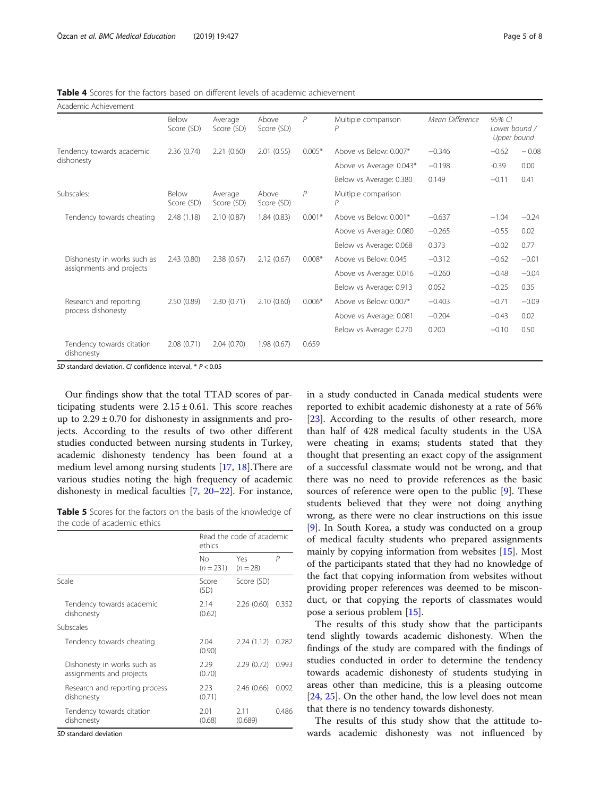<span id="page-4-0"></span>Table 4 Scores for the factors based on different levels of academic achievement

| Academic Achievement                    |                     |                       |                     |                |                          |                 |                                        |         |
|-----------------------------------------|---------------------|-----------------------|---------------------|----------------|--------------------------|-----------------|----------------------------------------|---------|
|                                         | Below<br>Score (SD) | Average<br>Score (SD) | Above<br>Score (SD) | $\overline{P}$ | Multiple comparison      | Mean Difference | 95% CI<br>Lower bound /<br>Upper bound |         |
| Tendency towards academic               | 2.36(0.74)          | 2.21(0.60)            | 2.01(0.55)          | $0.005*$       | Above vs Below: 0.007*   | $-0.346$        | $-0.62$                                | $-0.08$ |
| dishonesty                              |                     |                       |                     |                | Above vs Average: 0.043* | $-0.198$        | $-0.39$                                | 0.00    |
|                                         |                     |                       |                     |                | Below vs Average: 0.380  | 0.149           | $-0.11$                                | 0.41    |
| Subscales:                              | Below<br>Score (SD) | Average<br>Score (SD) | Above<br>Score (SD) | $\overline{P}$ | Multiple comparison      |                 |                                        |         |
| Tendency towards cheating               | 2.48(1.18)          | 2.10(0.87)            | 1.84(0.83)          | $0.001*$       | Above vs Below: 0.001*   | $-0.637$        | $-1.04$                                | $-0.24$ |
|                                         |                     |                       |                     |                | Above vs Average: 0.080  | $-0.265$        | $-0.55$                                | 0.02    |
|                                         |                     |                       |                     |                | Below vs Average: 0.068  | 0.373           | $-0.02$                                | 0.77    |
| Dishonesty in works such as             | 2.43(0.80)          | 2.38(0.67)            | 2.12(0.67)          | $0.008*$       | Above vs Below: 0.045    | $-0.312$        | $-0.62$                                | $-0.01$ |
| assignments and projects                |                     |                       |                     |                | Above vs Average: 0.016  | $-0.260$        | $-0.48$                                | $-0.04$ |
|                                         |                     |                       |                     |                | Below vs Average: 0.913  | 0.052           | $-0.25$                                | 0.35    |
| Research and reporting                  | 2.50(0.89)          | 2.30(0.71)            | 2.10(0.60)          | $0.006*$       | Above vs Below: 0.007*   | $-0.403$        | $-0.71$                                | $-0.09$ |
| process dishonesty                      |                     |                       |                     |                | Above vs Average: 0.081  | $-0.204$        | $-0.43$                                | 0.02    |
|                                         |                     |                       |                     |                | Below vs Average: 0.270  | 0.200           | $-0.10$                                | 0.50    |
| Tendency towards citation<br>dishonesty | 2.08(0.71)          | 2.04(0.70)            | 1.98(0.67)          | 0.659          |                          |                 |                                        |         |

SD standard deviation, CI confidence interval, \* P < 0.05

Our findings show that the total TTAD scores of participating students were  $2.15 \pm 0.61$ . This score reaches up to  $2.29 \pm 0.70$  for dishonesty in assignments and projects. According to the results of two other different studies conducted between nursing students in Turkey, academic dishonesty tendency has been found at a medium level among nursing students [\[17](#page-6-0), [18](#page-6-0)].There are various studies noting the high frequency of academic dishonesty in medical faculties [[7](#page-6-0), [20](#page-6-0)–[22\]](#page-7-0). For instance,

Table 5 Scores for the factors on the basis of the knowledge of the code of academic ethics

|                                                         | ethics            | Read the code of academic |       |  |
|---------------------------------------------------------|-------------------|---------------------------|-------|--|
|                                                         | Nο<br>$(n = 231)$ | Yes<br>$(n = 28)$         | P     |  |
| Scale                                                   | Score<br>(SD)     | Score (SD)                |       |  |
| Tendency towards academic<br>dishonesty                 | 2.14<br>(0.62)    | 2.26(0.60)                | 0.352 |  |
| Subscales                                               |                   |                           |       |  |
| Tendency towards cheating                               | 2.04<br>(0.90)    | 2.24(1.12)                | 0.282 |  |
| Dishonesty in works such as<br>assignments and projects | 2.29<br>(0.70)    | 2.29(0.72)                | 0.993 |  |
| Research and reporting process<br>dishonesty            | 2.23<br>(0.71)    | 2.46(0.66)                | 0.092 |  |
| Tendency towards citation<br>dishonesty                 | 2.01<br>(0.68)    | 2.11<br>(0.689)           | 0.486 |  |

SD standard deviation

in a study conducted in Canada medical students were reported to exhibit academic dishonesty at a rate of 56% [[23\]](#page-7-0). According to the results of other research, more than half of 428 medical faculty students in the USA were cheating in exams; students stated that they thought that presenting an exact copy of the assignment of a successful classmate would not be wrong, and that there was no need to provide references as the basic sources of reference were open to the public [\[9](#page-6-0)]. These students believed that they were not doing anything wrong, as there were no clear instructions on this issue [[9\]](#page-6-0). In South Korea, a study was conducted on a group of medical faculty students who prepared assignments mainly by copying information from websites [[15\]](#page-6-0). Most of the participants stated that they had no knowledge of the fact that copying information from websites without providing proper references was deemed to be misconduct, or that copying the reports of classmates would pose a serious problem [\[15](#page-6-0)].

The results of this study show that the participants tend slightly towards academic dishonesty. When the findings of the study are compared with the findings of studies conducted in order to determine the tendency towards academic dishonesty of students studying in areas other than medicine, this is a pleasing outcome [[24,](#page-7-0) [25\]](#page-7-0). On the other hand, the low level does not mean that there is no tendency towards dishonesty.

The results of this study show that the attitude towards academic dishonesty was not influenced by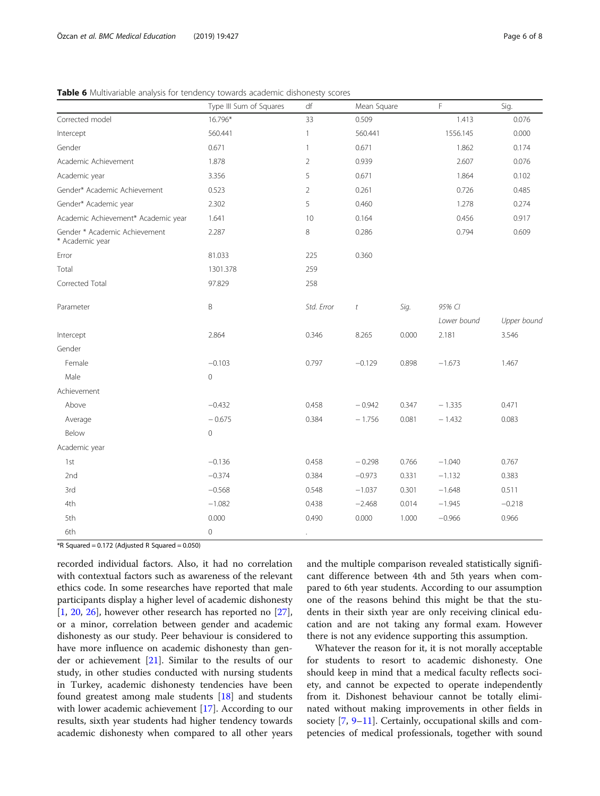### <span id="page-5-0"></span>Table 6 Multivariable analysis for tendency towards academic dishonesty scores

|                                                  | Type III Sum of Squares | df             | Mean Square |       | F           | Sig.        |
|--------------------------------------------------|-------------------------|----------------|-------------|-------|-------------|-------------|
| Corrected model                                  | 16.796*                 | 33             | 0.509       |       | 1.413       | 0.076       |
| Intercept                                        | 560.441                 | $\mathbf{1}$   | 560.441     |       | 1556.145    | 0.000       |
| Gender                                           | 0.671                   | $\mathbf{1}$   | 0.671       |       | 1.862       | 0.174       |
| Academic Achievement                             | 1.878                   | $\overline{2}$ | 0.939       |       | 2.607       | 0.076       |
| Academic year                                    | 3.356                   | 5              | 0.671       |       | 1.864       | 0.102       |
| Gender* Academic Achievement                     | 0.523                   | $\overline{2}$ | 0.261       |       | 0.726       | 0.485       |
| Gender* Academic year                            | 2.302                   | 5              | 0.460       |       | 1.278       | 0.274       |
| Academic Achievement* Academic year              | 1.641                   | 10             | 0.164       |       | 0.456       | 0.917       |
| Gender * Academic Achievement<br>* Academic year | 2.287                   | 8              | 0.286       |       | 0.794       | 0.609       |
| Error                                            | 81.033                  | 225            | 0.360       |       |             |             |
| Total                                            | 1301.378                | 259            |             |       |             |             |
| Corrected Total                                  | 97.829                  | 258            |             |       |             |             |
| Parameter                                        | B                       | Std. Error     | $\it t$     | Sig.  | 95% CI      |             |
|                                                  |                         |                |             |       | Lower bound | Upper bound |
| Intercept                                        | 2.864                   | 0.346          | 8.265       | 0.000 | 2.181       | 3.546       |
| Gender                                           |                         |                |             |       |             |             |
| Female                                           | $-0.103$                | 0.797          | $-0.129$    | 0.898 | $-1.673$    | 1.467       |
| Male                                             | $\mathbf 0$             |                |             |       |             |             |
| Achievement                                      |                         |                |             |       |             |             |
| Above                                            | $-0.432$                | 0.458          | $-0.942$    | 0.347 | $-1.335$    | 0.471       |
| Average                                          | $-0.675$                | 0.384          | $-1.756$    | 0.081 | $-1.432$    | 0.083       |
| Below                                            | $\mathbf 0$             |                |             |       |             |             |
| Academic year                                    |                         |                |             |       |             |             |
| 1st                                              | $-0.136$                | 0.458          | $-0.298$    | 0.766 | $-1.040$    | 0.767       |
| 2nd                                              | $-0.374$                | 0.384          | $-0.973$    | 0.331 | $-1.132$    | 0.383       |
| 3rd                                              | $-0.568$                | 0.548          | $-1.037$    | 0.301 | $-1.648$    | 0.511       |
| 4th                                              | $-1.082$                | 0.438          | $-2.468$    | 0.014 | $-1.945$    | $-0.218$    |
| 5th                                              | 0.000                   | 0.490          | 0.000       | 1.000 | $-0.966$    | 0.966       |
| 6th                                              | $\mathbf 0$             |                |             |       |             |             |

 $*R$  Squared = 0.172 (Adjusted R Squared = 0.050)

recorded individual factors. Also, it had no correlation with contextual factors such as awareness of the relevant ethics code. In some researches have reported that male participants display a higher level of academic dishonesty [[1,](#page-6-0) [20,](#page-6-0) [26](#page-7-0)], however other research has reported no [\[27](#page-7-0)], or a minor, correlation between gender and academic dishonesty as our study. Peer behaviour is considered to have more influence on academic dishonesty than gender or achievement [[21](#page-6-0)]. Similar to the results of our study, in other studies conducted with nursing students in Turkey, academic dishonesty tendencies have been found greatest among male students [\[18](#page-6-0)] and students with lower academic achievement [\[17](#page-6-0)]. According to our results, sixth year students had higher tendency towards academic dishonesty when compared to all other years

and the multiple comparison revealed statistically significant difference between 4th and 5th years when compared to 6th year students. According to our assumption one of the reasons behind this might be that the students in their sixth year are only receiving clinical education and are not taking any formal exam. However there is not any evidence supporting this assumption.

Whatever the reason for it, it is not morally acceptable for students to resort to academic dishonesty. One should keep in mind that a medical faculty reflects society, and cannot be expected to operate independently from it. Dishonest behaviour cannot be totally eliminated without making improvements in other fields in society [[7,](#page-6-0) [9](#page-6-0)–[11\]](#page-6-0). Certainly, occupational skills and competencies of medical professionals, together with sound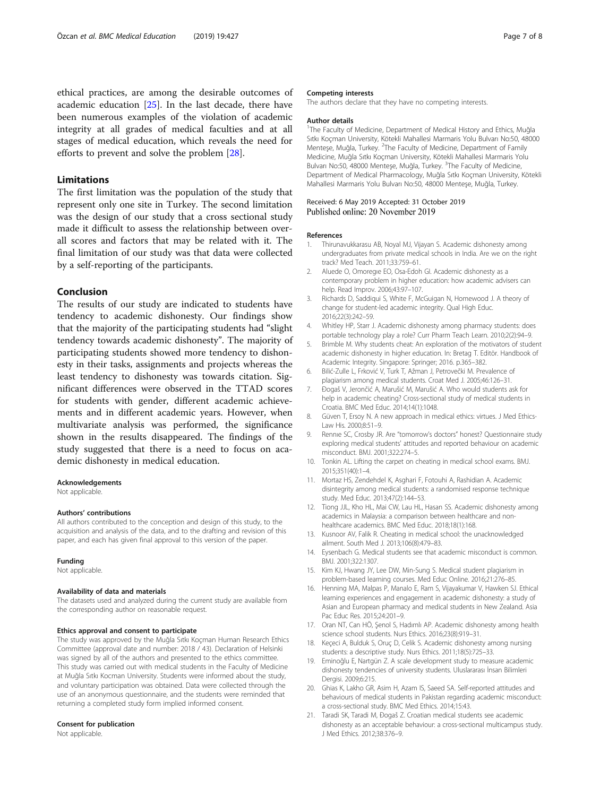### <span id="page-6-0"></span>Limitations

The first limitation was the population of the study that represent only one site in Turkey. The second limitation was the design of our study that a cross sectional study made it difficult to assess the relationship between overall scores and factors that may be related with it. The final limitation of our study was that data were collected by a self-reporting of the participants.

### Conclusion

The results of our study are indicated to students have tendency to academic dishonesty. Our findings show that the majority of the participating students had "slight tendency towards academic dishonesty". The majority of participating students showed more tendency to dishonesty in their tasks, assignments and projects whereas the least tendency to dishonesty was towards citation. Significant differences were observed in the TTAD scores for students with gender, different academic achievements and in different academic years. However, when multivariate analysis was performed, the significance shown in the results disappeared. The findings of the study suggested that there is a need to focus on academic dishonesty in medical education.

#### Acknowledgements

Not applicable

#### Authors' contributions

All authors contributed to the conception and design of this study, to the acquisition and analysis of the data, and to the drafting and revision of this paper, and each has given final approval to this version of the paper.

#### Funding

Not applicable.

### Availability of data and materials

The datasets used and analyzed during the current study are available from the corresponding author on reasonable request.

### Ethics approval and consent to participate

The study was approved by the Muğla Sıtkı Koçman Human Research Ethics Committee (approval date and number: 2018 / 43). Declaration of Helsinki was signed by all of the authors and presented to the ethics committee. This study was carried out with medical students in the Faculty of Medicine at Muğla Sıtkı Kocman University. Students were informed about the study, and voluntary participation was obtained. Data were collected through the use of an anonymous questionnaire, and the students were reminded that returning a completed study form implied informed consent.

### Consent for publication

Not applicable.

#### Competing interests

The authors declare that they have no competing interests.

#### Author details

<sup>1</sup>The Faculty of Medicine, Department of Medical History and Ethics, Muğla Sıtkı Koçman University, Kötekli Mahallesi Marmaris Yolu Bulvarı No:50, 48000 Menteşe, Muğla, Turkey. <sup>2</sup>The Faculty of Medicine, Department of Family Medicine, Muğla Sıtkı Koçman University, Kötekli Mahallesi Marmaris Yolu Bulvarı No:50, 48000 Menteşe, Muğla, Turkey. <sup>3</sup>The Faculty of Medicine, Department of Medical Pharmacology, Muğla Sıtkı Koçman University, Kötekli Mahallesi Marmaris Yolu Bulvarı No:50, 48000 Menteşe, Muğla, Turkey.

### Received: 6 May 2019 Accepted: 31 October 2019 Published online: 20 November 2019

#### References

- 1. Thirunavukkarasu AB, Noyal MJ, Vijayan S. Academic dishonesty among undergraduates from private medical schools in India. Are we on the right track? Med Teach. 2011;33:759–61.
- 2. Aluede O, Omoregıe EO, Osa-Edoh GI. Academic dishonesty as a contemporary problem in higher education: how academic advisers can help. Read Improv. 2006;43:97–107.
- 3. Richards D, Saddiqui S, White F, McGuigan N, Homewood J. A theory of change for student-led academic integrity. Qual High Educ. 2016;22(3):242–59.
- 4. Whitley HP, Starr J. Academic dishonesty among pharmacy students: does portable technology play a role? Curr Pharm Teach Learn. 2010;2(2):94–9.
- 5. Brimble M. Why students cheat: An exploration of the motivators of student academic dishonesty in higher education. In: Bretag T. Editör. Handbook of Academic Integrity. Singapore: Springer; 2016. p.365–382.
- 6. Bilić-Zulle L, Frković V, Turk T, Ažman J, Petrovečki M. Prevalence of plagiarism among medical students. Croat Med J. 2005;46:126–31.
- 7. Đogaš V, Jerončić A, Marušić M, Marušić A. Who would students ask for help in academic cheating? Cross-sectional study of medical students in Croatia. BMC Med Educ. 2014;14(1):1048.
- 8. Güven T, Ersoy N. A new approach in medical ethics: virtues. J Med Ethics-Law His. 2000;8:51–9.
- 9. Rennıe SC, Crosby JR. Are "tomorrow's doctors" honest? Questionnaire study exploring medical students' attitudes and reported behaviour on academic misconduct. BMJ. 2001;322:274–5.
- 10. Tonkin AL. Lifting the carpet on cheating in medical school exams. BMJ. 2015;351(40):1–4.
- 11. Mortaz HS, Zendehdel K, Asghari F, Fotouhi A, Rashidian A. Academic disintegrity among medical students: a randomised response technique study. Med Educ. 2013;47(2):144–53.
- 12. Tiong JJL, Kho HL, Mai CW, Lau HL, Hasan SS. Academic dishonesty among academics in Malaysia: a comparison between healthcare and nonhealthcare academics. BMC Med Educ. 2018;18(1):168.
- 13. Kusnoor AV, Falik R. Cheating in medical school: the unacknowledged ailment. South Med J. 2013;106(8):479–83.
- 14. Eysenbach G. Medical students see that academic misconduct is common. BMJ. 2001;322:1307.
- 15. Kim KJ, Hwang JY, Lee DW, Min-Sung S. Medical student plagiarism in problem-based learning courses. Med Educ Online. 2016;21:276–85.
- 16. Henning MA, Malpas P, Manalo E, Ram S, Vijayakumar V, Hawken SJ. Ethical learning experiences and engagement in academic dishonesty: a study of Asian and European pharmacy and medical students in New Zealand. Asia Pac Educ Res. 2015;24:201–9.
- 17. Oran NT, Can HÖ, Şenol S, Hadımlı AP. Academic dishonesty among health science school students. Nurs Ethics. 2016;23(8):919–31.
- 18. Keçeci A, Bulduk S, Oruç D, Celik S. Academic dishonesty among nursing students: a descriptive study. Nurs Ethics. 2011;18(5):725–33.
- 19. Eminoğlu E, Nartgün Z. A scale development study to measure academic dishonesty tendencies of university students. Uluslararası İnsan Bilimleri Dergisi. 2009;6:215.
- 20. Ghias K, Lakho GR, Asim H, Azam IS, Saeed SA. Self-reported attitudes and behaviours of medical students in Pakistan regarding academic misconduct: a cross-sectional study. BMC Med Ethics. 2014;15:43.
- 21. Taradi SK, Taradi M, Đogaš Z. Croatian medical students see academic dishonesty as an acceptable behaviour: a cross-sectional multicampus study. J Med Ethics. 2012;38:376–9.